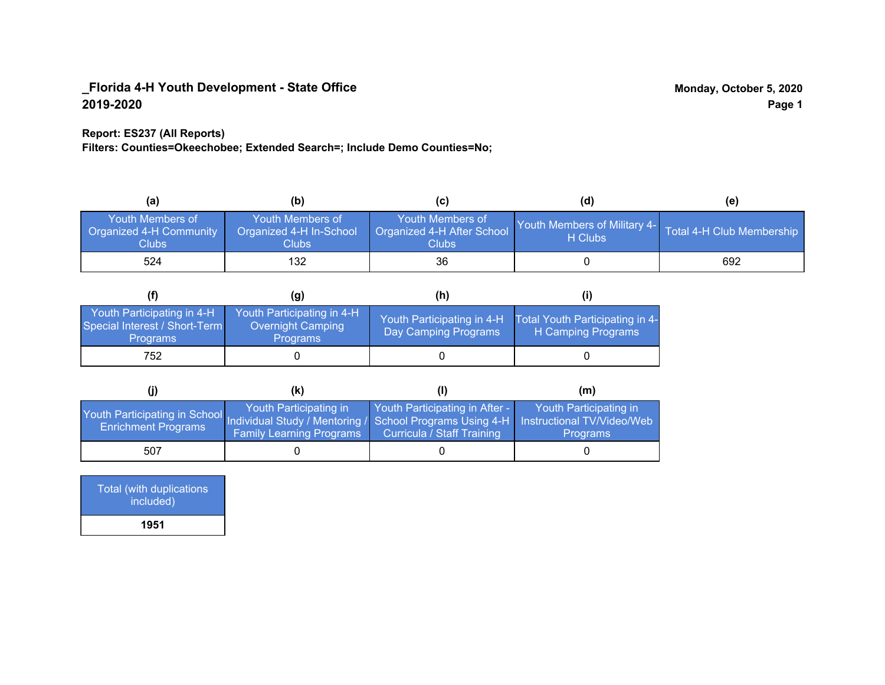#### **Report: ES237 (All Reports)**

**Filters: Counties=Okeechobee; Extended Search=; Include Demo Counties=No;**

| (a)                                                  | (b)                                                  | C                                                       | (d)                                     | (e)                       |
|------------------------------------------------------|------------------------------------------------------|---------------------------------------------------------|-----------------------------------------|---------------------------|
| Youth Members of<br>Organized 4-H Community<br>Clubs | Youth Members of<br>Organized 4-H In-School<br>Clubs | Youth Members of<br>Organized 4-H After School<br>Clubs | Youth Members of Military 4-<br>H Clubs | Total 4-H Club Membership |
| 524                                                  | 132                                                  | 36                                                      |                                         | 692                       |

|                                                                                | (g)                                                                | (h)                                                |                                                       |
|--------------------------------------------------------------------------------|--------------------------------------------------------------------|----------------------------------------------------|-------------------------------------------------------|
| Youth Participating in 4-H<br>Special Interest / Short-Term<br><b>Programs</b> | Youth Participating in 4-H<br><b>Overnight Camping</b><br>Programs | Youth Participating in 4-H<br>Day Camping Programs | Total Youth Participating in 4-<br>H Camping Programs |
| 752                                                                            |                                                                    |                                                    |                                                       |

|                                                                                                                                                 | (k)                                                       |                                                              | (m)                                       |
|-------------------------------------------------------------------------------------------------------------------------------------------------|-----------------------------------------------------------|--------------------------------------------------------------|-------------------------------------------|
| Youth Participating in School Individual Study / Mentoring / School Programs Using 4-H Instructional TV/Video/Web<br><b>Enrichment Programs</b> | Youth Participating in<br><b>Family Learning Programs</b> | Youth Participating in After -<br>Curricula / Staff Training | Youth Participating in<br><b>Programs</b> |
| 507                                                                                                                                             |                                                           |                                                              |                                           |

| Total (with duplications<br>included) |
|---------------------------------------|
| 1951                                  |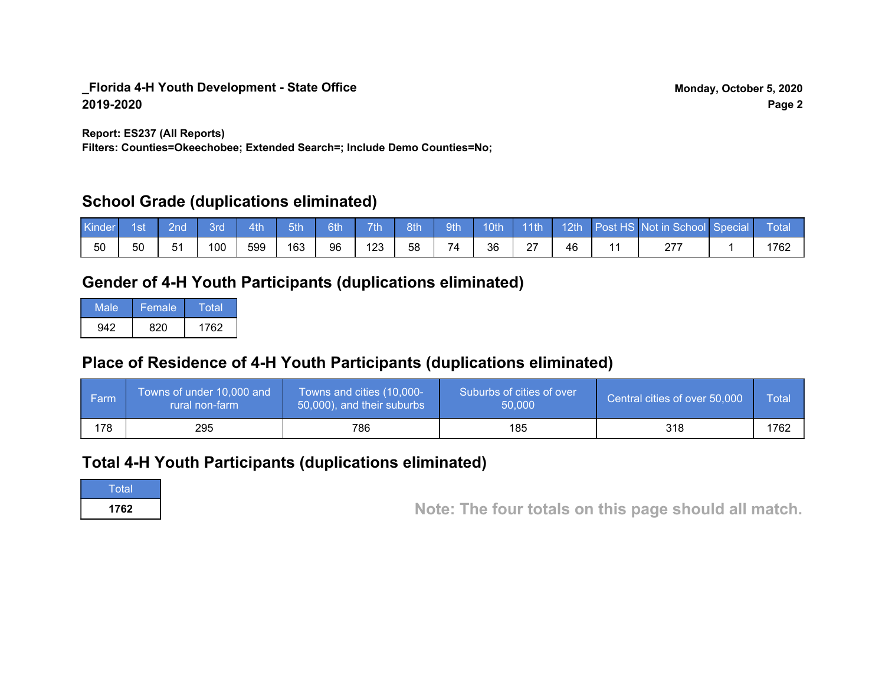**Report: ES237 (All Reports)**

**Filters: Counties=Okeechobee; Extended Search=; Include Demo Counties=No;**

### **School Grade (duplications eliminated)**

| Kinde | 1st | 2nd | Brd | 4th | 5th | 6th | <b>Tip</b> | 8th | 9th | <b>10th</b> | $-11$ th           | 12 <sub>th</sub> | Post HS Not in School Special | Total |
|-------|-----|-----|-----|-----|-----|-----|------------|-----|-----|-------------|--------------------|------------------|-------------------------------|-------|
| 50    | 50  | 51  | 100 | 599 | 163 | 96  | 123        | 58  | 74  | 36          | $\sim$<br><u>~</u> | 46               | 277                           | 1762  |

# **Gender of 4-H Youth Participants (duplications eliminated)**

| Male | Female | Total |
|------|--------|-------|
| 942  | 820    | 1762  |

# **Place of Residence of 4-H Youth Participants (duplications eliminated)**

| ∣ Farm | Towns of under 10,000 and<br>rural non-farm | Towns and cities (10,000-<br>50,000), and their suburbs | Suburbs of cities of over<br>50,000 | Central cities of over 50,000 | Total |
|--------|---------------------------------------------|---------------------------------------------------------|-------------------------------------|-------------------------------|-------|
| 178    | 295                                         | 786                                                     | 185                                 | 318                           | 1762  |

# **Total 4-H Youth Participants (duplications eliminated)**

**Total** 

**<sup>1762</sup> Note: The four totals on this page should all match.**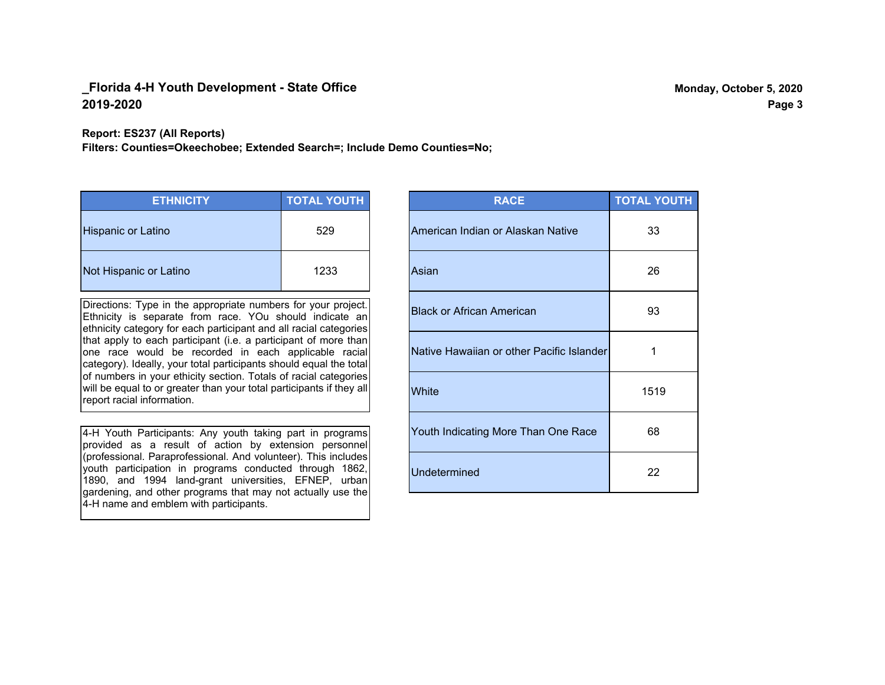**Report: ES237 (All Reports)**

**Filters: Counties=Okeechobee; Extended Search=; Include Demo Counties=No;**

| <b>ETHNICITY</b>          | <b>TOTAL YOUTH</b> |
|---------------------------|--------------------|
| <b>Hispanic or Latino</b> | 529                |
| Not Hispanic or Latino    | 1233               |

Directions: Type in the appropriate numbers for your project. Ethnicity is separate from race. YOu should indicate an ethnicity category for each participant and all racial categories that apply to each participant (i.e. a participant of more than one race would be recorded in each applicable racial category). Ideally, your total participants should equal the total of numbers in your ethicity section. Totals of racial categories will be equal to or greater than your total participants if they all report racial information.

4-H Youth Participants: Any youth taking part in programs provided as a result of action by extension personnel (professional. Paraprofessional. And volunteer). This includes youth participation in programs conducted through 1862, 1890, and 1994 land-grant universities, EFNEP, urban gardening, and other programs that may not actually use the 4-H name and emblem with participants.

| <b>RACE</b>                               | <b>TOTAL YOUTH</b> |
|-------------------------------------------|--------------------|
| American Indian or Alaskan Native         | 33                 |
| Asian                                     | 26                 |
| <b>Black or African American</b>          | 93                 |
| Native Hawaiian or other Pacific Islander | 1                  |
| White                                     | 1519               |
| Youth Indicating More Than One Race       | 68                 |
| <b>Undetermined</b>                       | 22                 |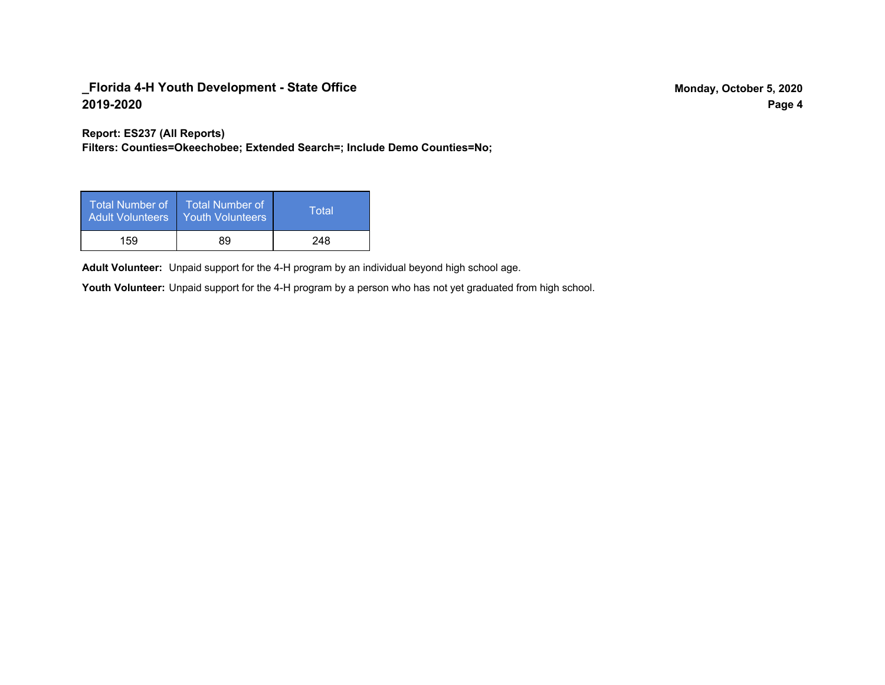**Report: ES237 (All Reports)**

**Filters: Counties=Okeechobee; Extended Search=; Include Demo Counties=No;**

| Total Number of<br>Adult Volunteers | <b>Total Number of</b><br><b>Youth Volunteers</b> | Total |
|-------------------------------------|---------------------------------------------------|-------|
| 159                                 | 89                                                | 248   |

Adult Volunteer: Unpaid support for the 4-H program by an individual beyond high school age.

Youth Volunteer: Unpaid support for the 4-H program by a person who has not yet graduated from high school.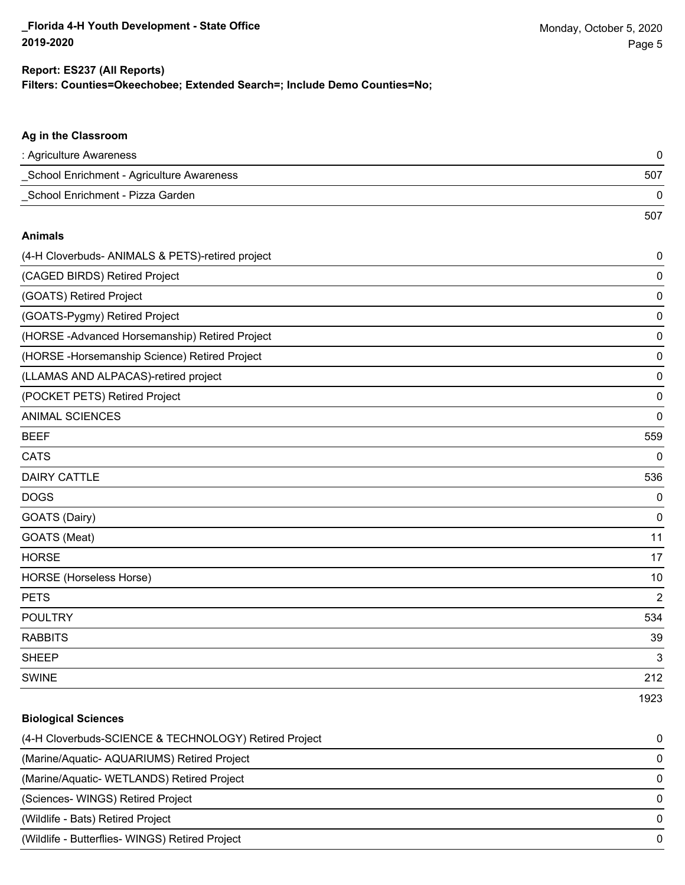**Biological Sciences**

#### **Filters: Counties=Okeechobee; Extended Search=; Include Demo Counties=No; Report: ES237 (All Reports)**

| Ag in the Classroom                              |                |
|--------------------------------------------------|----------------|
| : Agriculture Awareness                          | 0              |
| School Enrichment - Agriculture Awareness        | 507            |
| School Enrichment - Pizza Garden                 | 0              |
|                                                  | 507            |
| <b>Animals</b>                                   |                |
| (4-H Cloverbuds- ANIMALS & PETS)-retired project | 0              |
| (CAGED BIRDS) Retired Project                    | 0              |
| (GOATS) Retired Project                          | 0              |
| (GOATS-Pygmy) Retired Project                    | $\mathbf 0$    |
| (HORSE-Advanced Horsemanship) Retired Project    | $\mathbf 0$    |
| (HORSE-Horsemanship Science) Retired Project     | 0              |
| (LLAMAS AND ALPACAS)-retired project             | 0              |
| (POCKET PETS) Retired Project                    | $\mathbf 0$    |
| <b>ANIMAL SCIENCES</b>                           | 0              |
| <b>BEEF</b>                                      | 559            |
| <b>CATS</b>                                      | $\mathbf 0$    |
| <b>DAIRY CATTLE</b>                              | 536            |
| <b>DOGS</b>                                      | $\mathbf 0$    |
| GOATS (Dairy)                                    | $\mathbf 0$    |
| GOATS (Meat)                                     | 11             |
| <b>HORSE</b>                                     | 17             |
| <b>HORSE</b> (Horseless Horse)                   | 10             |
| <b>PETS</b>                                      | $\overline{2}$ |
| <b>POULTRY</b>                                   | 534            |
| <b>RABBITS</b>                                   | 39             |
| <b>SHEEP</b>                                     | 3              |
| <b>SWINE</b>                                     | 212            |
|                                                  | 1923           |

| (4-H Cloverbuds-SCIENCE & TECHNOLOGY) Retired Project | 0            |
|-------------------------------------------------------|--------------|
| (Marine/Aquatic-AQUARIUMS) Retired Project            | $\Omega$     |
| (Marine/Aquatic-WETLANDS) Retired Project             | $\Omega$     |
| (Sciences-WINGS) Retired Project                      | $\Omega$     |
| (Wildlife - Bats) Retired Project                     | <sup>0</sup> |
| (Wildlife - Butterflies- WINGS) Retired Project       | <sup>0</sup> |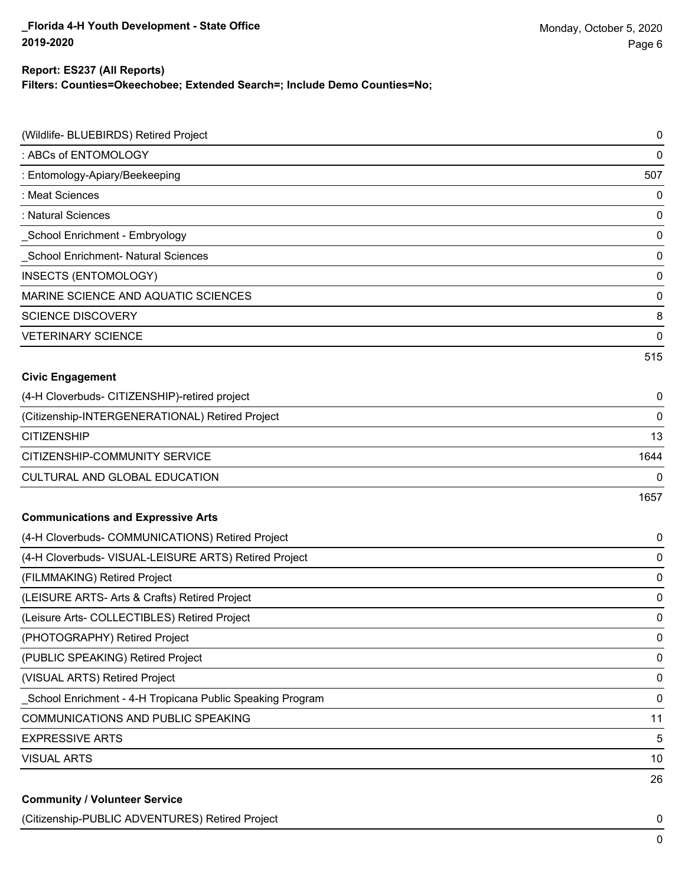#### **Report: ES237 (All Reports)**

**Filters: Counties=Okeechobee; Extended Search=; Include Demo Counties=No;**

| (Wildlife- BLUEBIRDS) Retired Project                     | $\mathbf 0$ |
|-----------------------------------------------------------|-------------|
| : ABCs of ENTOMOLOGY                                      | 0           |
| : Entomology-Apiary/Beekeeping                            | 507         |
| : Meat Sciences                                           | $\mathbf 0$ |
| : Natural Sciences                                        | $\mathbf 0$ |
| School Enrichment - Embryology                            | $\mathbf 0$ |
| School Enrichment- Natural Sciences                       | $\mathbf 0$ |
| INSECTS (ENTOMOLOGY)                                      | $\mathbf 0$ |
| MARINE SCIENCE AND AQUATIC SCIENCES                       | $\mathbf 0$ |
| <b>SCIENCE DISCOVERY</b>                                  | 8           |
| <b>VETERINARY SCIENCE</b>                                 | $\mathbf 0$ |
|                                                           | 515         |
| <b>Civic Engagement</b>                                   |             |
| (4-H Cloverbuds- CITIZENSHIP)-retired project             | 0           |
| (Citizenship-INTERGENERATIONAL) Retired Project           | 0           |
| <b>CITIZENSHIP</b>                                        | 13          |
| CITIZENSHIP-COMMUNITY SERVICE                             | 1644        |
| CULTURAL AND GLOBAL EDUCATION                             | 0           |
|                                                           | 1657        |
| <b>Communications and Expressive Arts</b>                 |             |
| (4-H Cloverbuds- COMMUNICATIONS) Retired Project          | 0           |
| (4-H Cloverbuds- VISUAL-LEISURE ARTS) Retired Project     | 0           |
| (FILMMAKING) Retired Project                              | $\mathbf 0$ |
| (LEISURE ARTS- Arts & Crafts) Retired Project             | 0           |
| (Leisure Arts- COLLECTIBLES) Retired Project              | $\mathbf 0$ |
| (PHOTOGRAPHY) Retired Project                             | $\pmb{0}$   |
| (PUBLIC SPEAKING) Retired Project                         | $\pmb{0}$   |
| (VISUAL ARTS) Retired Project                             | $\pmb{0}$   |
| School Enrichment - 4-H Tropicana Public Speaking Program | $\mathbf 0$ |
| <b>COMMUNICATIONS AND PUBLIC SPEAKING</b>                 | 11          |
| <b>EXPRESSIVE ARTS</b>                                    | 5           |
| <b>VISUAL ARTS</b>                                        | 10          |
|                                                           | 26          |
| <b>Community / Volunteer Service</b>                      |             |

(Citizenship-PUBLIC ADVENTURES) Retired Project 0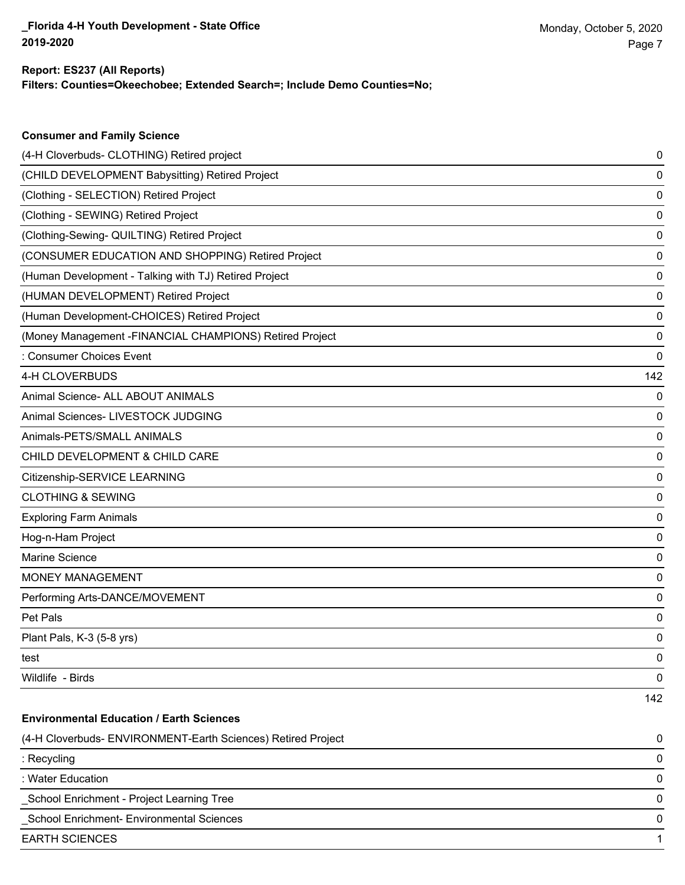#### **Filters: Counties=Okeechobee; Extended Search=; Include Demo Counties=No; Report: ES237 (All Reports)**

| <b>Consumer and Family Science</b>                           |     |
|--------------------------------------------------------------|-----|
| (4-H Cloverbuds- CLOTHING) Retired project                   | 0   |
| (CHILD DEVELOPMENT Babysitting) Retired Project              | 0   |
| (Clothing - SELECTION) Retired Project                       | 0   |
| (Clothing - SEWING) Retired Project                          | 0   |
| (Clothing-Sewing- QUILTING) Retired Project                  | 0   |
| (CONSUMER EDUCATION AND SHOPPING) Retired Project            | 0   |
| (Human Development - Talking with TJ) Retired Project        | 0   |
| (HUMAN DEVELOPMENT) Retired Project                          | 0   |
| (Human Development-CHOICES) Retired Project                  | 0   |
| (Money Management - FINANCIAL CHAMPIONS) Retired Project     | 0   |
| : Consumer Choices Event                                     | 0   |
| 4-H CLOVERBUDS                                               | 142 |
| Animal Science- ALL ABOUT ANIMALS                            | 0   |
| Animal Sciences- LIVESTOCK JUDGING                           | 0   |
| Animals-PETS/SMALL ANIMALS                                   | 0   |
| CHILD DEVELOPMENT & CHILD CARE                               | 0   |
| Citizenship-SERVICE LEARNING                                 | 0   |
| <b>CLOTHING &amp; SEWING</b>                                 | 0   |
| <b>Exploring Farm Animals</b>                                | 0   |
| Hog-n-Ham Project                                            | 0   |
| Marine Science                                               | 0   |
| <b>MONEY MANAGEMENT</b>                                      | 0   |
| Performing Arts-DANCE/MOVEMENT                               | 0   |
| Pet Pals                                                     | 0   |
| Plant Pals, K-3 (5-8 yrs)                                    | 0   |
| test                                                         | 0   |
| Wildlife - Birds                                             | 0   |
|                                                              | 142 |
| <b>Environmental Education / Earth Sciences</b>              |     |
| (4-H Cloverbuds- ENVIRONMENT-Earth Sciences) Retired Project | 0   |
| : Recycling                                                  | 0   |
| : Water Education                                            | 0   |
| School Enrichment - Project Learning Tree                    | 0   |
| School Enrichment- Environmental Sciences                    | 0   |
| <b>EARTH SCIENCES</b>                                        | 1   |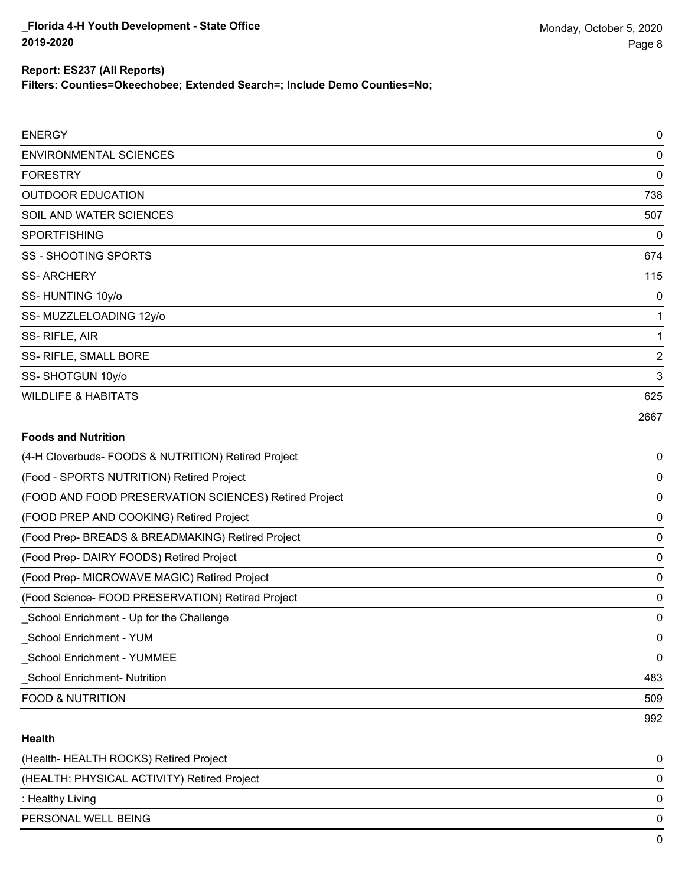### **Report: ES237 (All Reports)**

**Filters: Counties=Okeechobee; Extended Search=; Include Demo Counties=No;**

| <b>ENERGY</b>                  | 0              |
|--------------------------------|----------------|
| <b>ENVIRONMENTAL SCIENCES</b>  | 0              |
| <b>FORESTRY</b>                | 0              |
| <b>OUTDOOR EDUCATION</b>       | 738            |
| SOIL AND WATER SCIENCES        | 507            |
| <b>SPORTFISHING</b>            | 0              |
| <b>SS - SHOOTING SPORTS</b>    | 674            |
| <b>SS-ARCHERY</b>              | 115            |
| SS-HUNTING 10y/o               | 0              |
| SS-MUZZLELOADING 12y/o         | 1              |
| SS-RIFLE, AIR                  | 1              |
| SS- RIFLE, SMALL BORE          | $\overline{2}$ |
| SS-SHOTGUN 10y/o               | 3              |
| <b>WILDLIFE &amp; HABITATS</b> | 625            |
|                                | 2667           |

#### **Foods and Nutrition**

| (4-H Cloverbuds- FOODS & NUTRITION) Retired Project   | 0   |
|-------------------------------------------------------|-----|
| (Food - SPORTS NUTRITION) Retired Project             | 0   |
| (FOOD AND FOOD PRESERVATION SCIENCES) Retired Project | 0   |
| (FOOD PREP AND COOKING) Retired Project               | 0   |
| (Food Prep- BREADS & BREADMAKING) Retired Project     | 0   |
| (Food Prep- DAIRY FOODS) Retired Project              | 0   |
| (Food Prep- MICROWAVE MAGIC) Retired Project          | 0   |
| (Food Science-FOOD PRESERVATION) Retired Project      | 0   |
| School Enrichment - Up for the Challenge              | 0   |
| School Enrichment - YUM                               | 0   |
| <b>School Enrichment - YUMMEE</b>                     | 0   |
| <b>School Enrichment-Nutrition</b>                    | 483 |
| <b>FOOD &amp; NUTRITION</b>                           | 509 |
|                                                       | 992 |

#### **Health**

| (Health-HEALTH ROCKS) Retired Project       |  |
|---------------------------------------------|--|
| (HEALTH: PHYSICAL ACTIVITY) Retired Project |  |
| : Healthy Living                            |  |
| PERSONAL WELL BEING                         |  |
|                                             |  |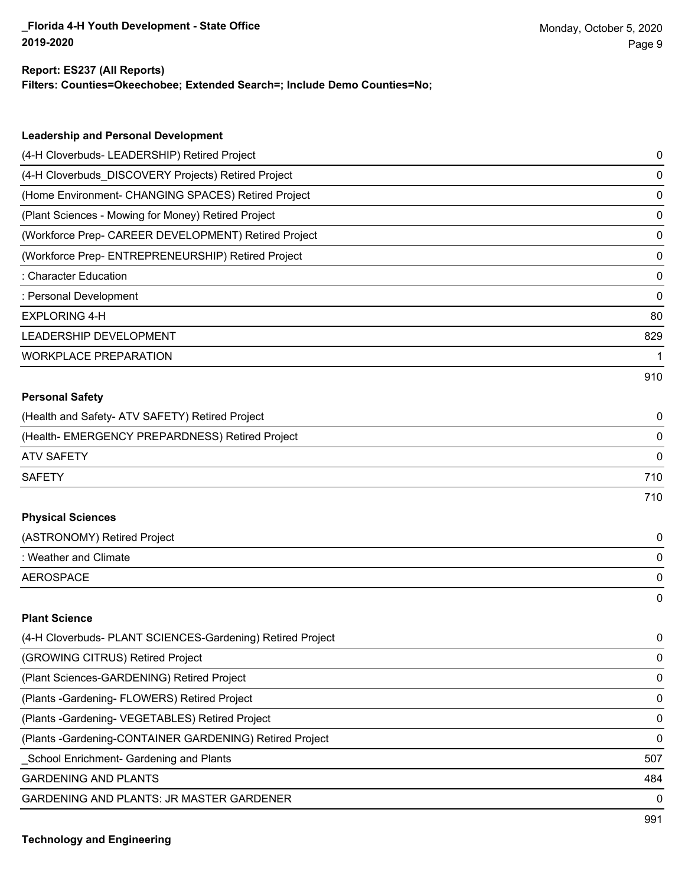#### **Report: ES237 (All Reports)**

**Filters: Counties=Okeechobee; Extended Search=; Include Demo Counties=No;**

| <b>Leadership and Personal Development</b>                 |     |
|------------------------------------------------------------|-----|
| (4-H Cloverbuds- LEADERSHIP) Retired Project               | 0   |
| (4-H Cloverbuds_DISCOVERY Projects) Retired Project        | 0   |
| (Home Environment- CHANGING SPACES) Retired Project        | 0   |
| (Plant Sciences - Mowing for Money) Retired Project        | 0   |
| (Workforce Prep- CAREER DEVELOPMENT) Retired Project       | 0   |
| (Workforce Prep- ENTREPRENEURSHIP) Retired Project         | 0   |
| : Character Education                                      | 0   |
| : Personal Development                                     | 0   |
| <b>EXPLORING 4-H</b>                                       | 80  |
| LEADERSHIP DEVELOPMENT                                     | 829 |
| <b>WORKPLACE PREPARATION</b>                               | 1   |
|                                                            | 910 |
| <b>Personal Safety</b>                                     |     |
| (Health and Safety- ATV SAFETY) Retired Project            | 0   |
| (Health- EMERGENCY PREPARDNESS) Retired Project            | 0   |
| <b>ATV SAFETY</b>                                          | 0   |
| <b>SAFETY</b>                                              | 710 |
|                                                            | 710 |
| <b>Physical Sciences</b>                                   |     |
| (ASTRONOMY) Retired Project                                | 0   |
| : Weather and Climate                                      | 0   |
| <b>AEROSPACE</b>                                           | 0   |
|                                                            | 0   |
| <b>Plant Science</b>                                       |     |
| (4-H Cloverbuds- PLANT SCIENCES-Gardening) Retired Project | 0   |
| (GROWING CITRUS) Retired Project                           | 0   |
| (Plant Sciences-GARDENING) Retired Project                 | 0   |
| (Plants - Gardening - FLOWERS) Retired Project             | 0   |
| (Plants - Gardening - VEGETABLES) Retired Project          | 0   |
| (Plants - Gardening-CONTAINER GARDENING) Retired Project   | 0   |
| School Enrichment- Gardening and Plants                    | 507 |
| <b>GARDENING AND PLANTS</b>                                | 484 |
| GARDENING AND PLANTS: JR MASTER GARDENER                   | 0   |